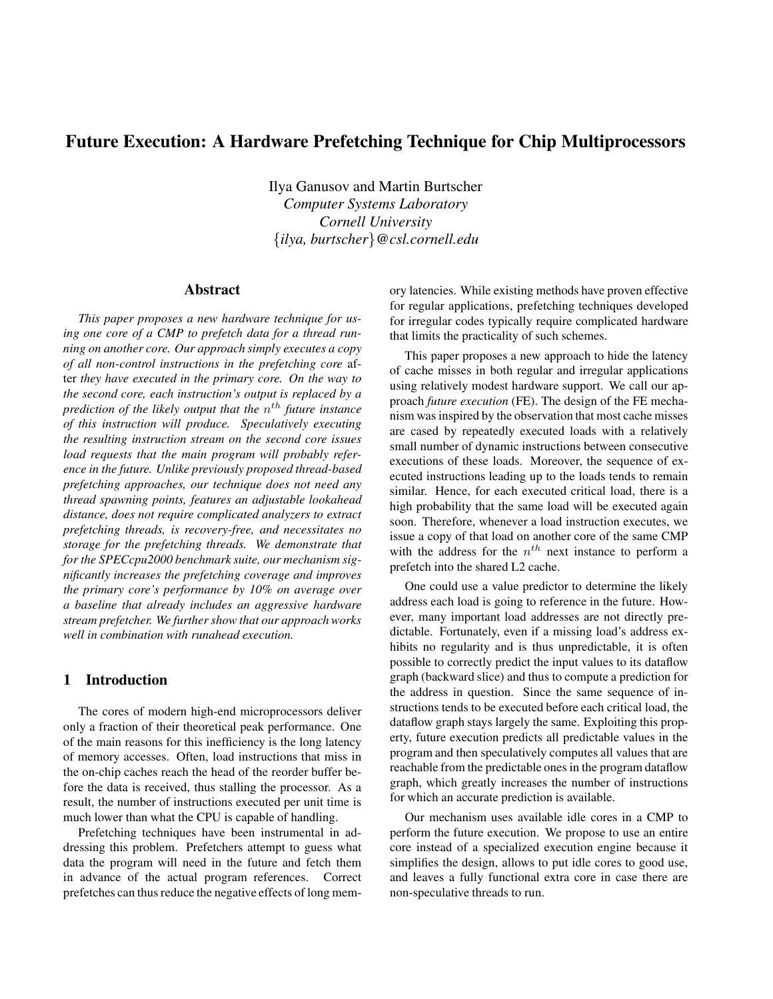# **Future Execution: A Hardware Prefetching Technique for Chip Multiprocessors**

Ilya Ganusov and Martin Burtscher *Computer Systems Laboratory Cornell University {ilya, burtscher}@csl.cornell.edu*

# **Abstract**

*This paper proposes a new hardware technique for using one core of a CMP to prefetch data for a thread running on another core. Our approach simply executes a copy of all non-control instructions in the prefetching core* after *they have executed in the primary core. On the way to the second core, each instruction's output is replaced by a prediction of the likely output that the nth future instance of this instruction will produce. Speculatively executing the resulting instruction stream on the second core issues load requests that the main program will probably reference in the future. Unlike previously proposed thread-based prefetching approaches, our technique does not need any thread spawning points, features an adjustable lookahead distance, does not require complicated analyzers to extract prefetching threads, is recovery-free, and necessitates no storage for the prefetching threads. We demonstrate that for the SPECcpu2000 benchmark suite, our mechanism significantly increases the prefetching coverage and improves the primary core's performance by 10% on average over a baseline that already includes an aggressive hardware stream prefetcher. We further show that our approach works well in combination with runahead execution.*

# **1 Introduction**

The cores of modern high-end microprocessors deliver only a fraction of their theoretical peak performance. One of the main reasons for this inefficiency is the long latency of memory accesses. Often, load instructions that miss in the on-chip caches reach the head of the reorder buffer before the data is received, thus stalling the processor. As a result, the number of instructions executed per unit time is much lower than what the CPU is capable of handling.

Prefetching techniques have been instrumental in addressing this problem. Prefetchers attempt to guess what data the program will need in the future and fetch them in advance of the actual program references. Correct prefetches can thus reduce the negative effects of long memory latencies. While existing methods have proven effective for regular applications, prefetching techniques developed for irregular codes typically require complicated hardware that limits the practicality of such schemes.

This paper proposes a new approach to hide the latency of cache misses in both regular and irregular applications using relatively modest hardware support. We call our approach *future execution* (FE). The design of the FE mechanism was inspired by the observation that most cache misses are cased by repeatedly executed loads with a relatively small number of dynamic instructions between consecutive executions of these loads. Moreover, the sequence of executed instructions leading up to the loads tends to remain similar. Hence, for each executed critical load, there is a high probability that the same load will be executed again soon. Therefore, whenever a load instruction executes, we issue a copy of that load on another core of the same CMP with the address for the *nth* next instance to perform a prefetch into the shared L2 cache.

One could use a value predictor to determine the likely address each load is going to reference in the future. However, many important load addresses are not directly predictable. Fortunately, even if a missing load's address exhibits no regularity and is thus unpredictable, it is often possible to correctly predict the input values to its dataflow graph (backward slice) and thus to compute a prediction for the address in question. Since the same sequence of instructions tends to be executed before each critical load, the dataflow graph stays largely the same. Exploiting this property, future execution predicts all predictable values in the program and then speculatively computes all values that are reachable from the predictable ones in the program dataflow graph, which greatly increases the number of instructions for which an accurate prediction is available.

Our mechanism uses available idle cores in a CMP to perform the future execution. We propose to use an entire core instead of a specialized execution engine because it simplifies the design, allows to put idle cores to good use, and leaves a fully functional extra core in case there are non-speculative threads to run.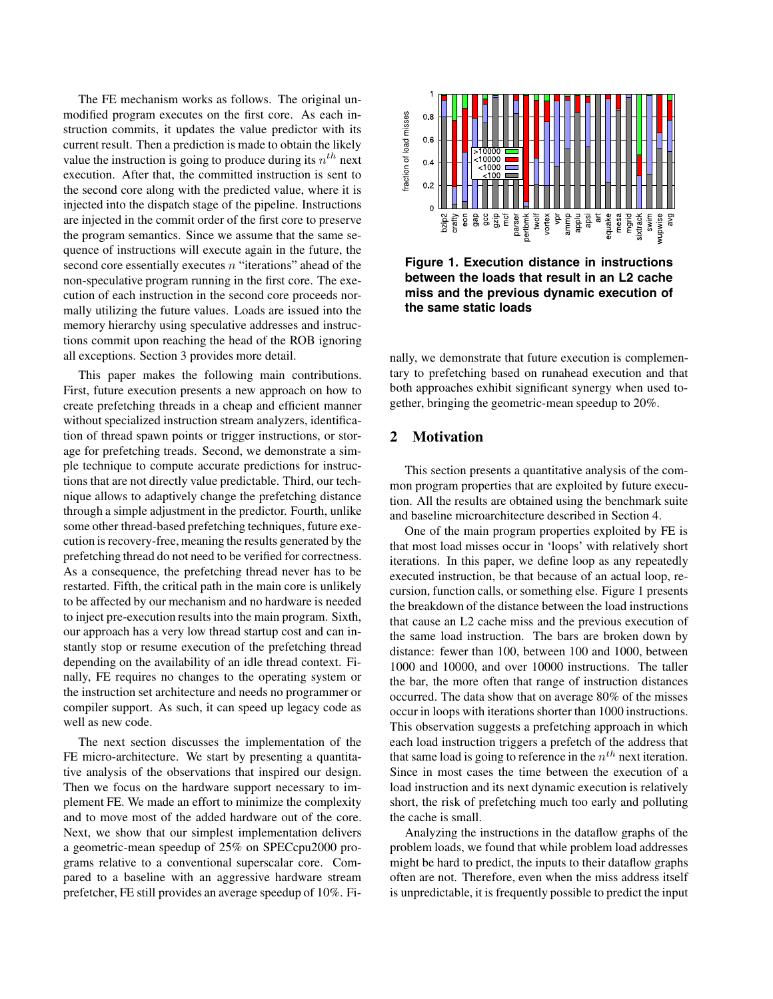The FE mechanism works as follows. The original unmodified program executes on the first core. As each instruction commits, it updates the value predictor with its current result. Then a prediction is made to obtain the likely value the instruction is going to produce during its *nth* next execution. After that, the committed instruction is sent to the second core along with the predicted value, where it is injected into the dispatch stage of the pipeline. Instructions are injected in the commit order of the first core to preserve the program semantics. Since we assume that the same sequence of instructions will execute again in the future, the second core essentially executes *n* "iterations" ahead of the non-speculative program running in the first core. The execution of each instruction in the second core proceeds normally utilizing the future values. Loads are issued into the memory hierarchy using speculative addresses and instructions commit upon reaching the head of the ROB ignoring all exceptions. Section 3 provides more detail.

This paper makes the following main contributions. First, future execution presents a new approach on how to create prefetching threads in a cheap and efficient manner without specialized instruction stream analyzers, identification of thread spawn points or trigger instructions, or storage for prefetching treads. Second, we demonstrate a simple technique to compute accurate predictions for instructions that are not directly value predictable. Third, our technique allows to adaptively change the prefetching distance through a simple adjustment in the predictor. Fourth, unlike some other thread-based prefetching techniques, future execution is recovery-free, meaning the results generated by the prefetching thread do not need to be verified for correctness. As a consequence, the prefetching thread never has to be restarted. Fifth, the critical path in the main core is unlikely to be affected by our mechanism and no hardware is needed to inject pre-execution results into the main program. Sixth, our approach has a very low thread startup cost and can instantly stop or resume execution of the prefetching thread depending on the availability of an idle thread context. Finally, FE requires no changes to the operating system or the instruction set architecture and needs no programmer or compiler support. As such, it can speed up legacy code as well as new code.

The next section discusses the implementation of the FE micro-architecture. We start by presenting a quantitative analysis of the observations that inspired our design. Then we focus on the hardware support necessary to implement FE. We made an effort to minimize the complexity and to move most of the added hardware out of the core. Next, we show that our simplest implementation delivers a geometric-mean speedup of 25% on SPECcpu2000 programs relative to a conventional superscalar core. Compared to a baseline with an aggressive hardware stream prefetcher, FE still provides an average speedup of 10%. Fi-



**Figure 1. Execution distance in instructions between the loads that result in an L2 cache miss and the previous dynamic execution of the same static loads**

nally, we demonstrate that future execution is complementary to prefetching based on runahead execution and that both approaches exhibit significant synergy when used together, bringing the geometric-mean speedup to 20%.

## **2 Motivation**

This section presents a quantitative analysis of the common program properties that are exploited by future execution. All the results are obtained using the benchmark suite and baseline microarchitecture described in Section 4.

One of the main program properties exploited by FE is that most load misses occur in 'loops' with relatively short iterations. In this paper, we define loop as any repeatedly executed instruction, be that because of an actual loop, recursion, function calls, or something else. Figure 1 presents the breakdown of the distance between the load instructions that cause an L2 cache miss and the previous execution of the same load instruction. The bars are broken down by distance: fewer than 100, between 100 and 1000, between 1000 and 10000, and over 10000 instructions. The taller the bar, the more often that range of instruction distances occurred. The data show that on average 80% of the misses occur in loops with iterations shorter than 1000 instructions. This observation suggests a prefetching approach in which each load instruction triggers a prefetch of the address that that same load is going to reference in the  $n<sup>th</sup>$  next iteration. Since in most cases the time between the execution of a load instruction and its next dynamic execution is relatively short, the risk of prefetching much too early and polluting the cache is small.

Analyzing the instructions in the dataflow graphs of the problem loads, we found that while problem load addresses might be hard to predict, the inputs to their dataflow graphs often are not. Therefore, even when the miss address itself is unpredictable, it is frequently possible to predict the input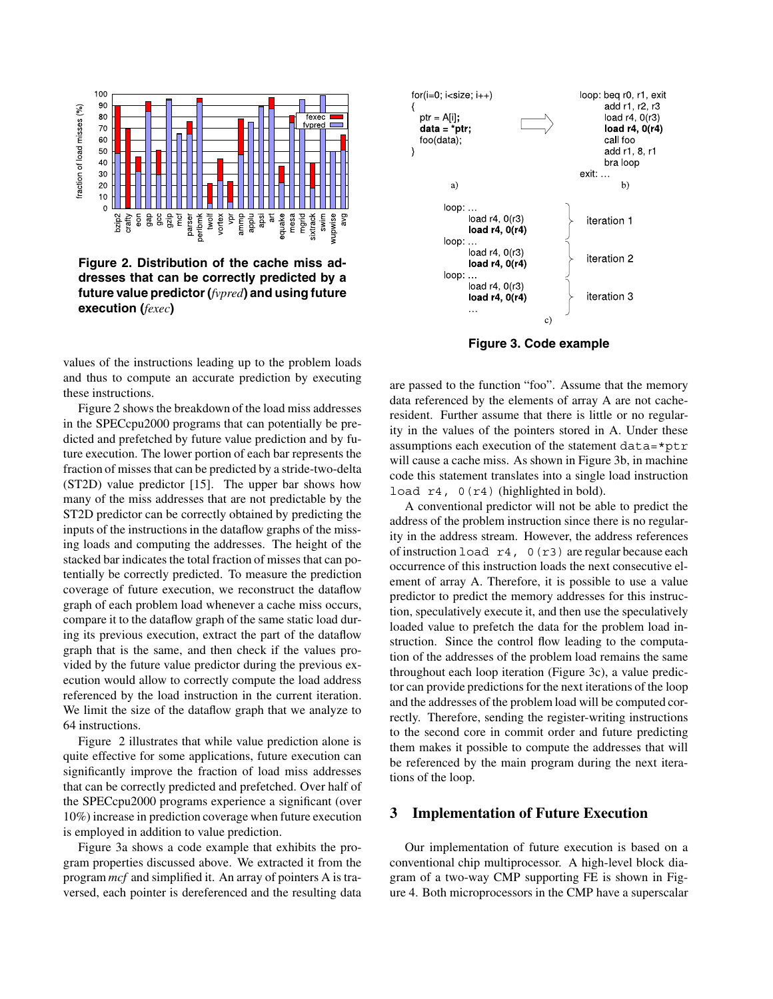

**Figure 2. Distribution of the cache miss addresses that can be correctly predicted by a future value predictor (***fvpred***) and using future execution (***fexec***)**

values of the instructions leading up to the problem loads and thus to compute an accurate prediction by executing these instructions.

Figure 2 shows the breakdown of the load miss addresses in the SPECcpu2000 programs that can potentially be predicted and prefetched by future value prediction and by future execution. The lower portion of each bar represents the fraction of misses that can be predicted by a stride-two-delta (ST2D) value predictor [15]. The upper bar shows how many of the miss addresses that are not predictable by the ST2D predictor can be correctly obtained by predicting the inputs of the instructions in the dataflow graphs of the missing loads and computing the addresses. The height of the stacked bar indicates the total fraction of misses that can potentially be correctly predicted. To measure the prediction coverage of future execution, we reconstruct the dataflow graph of each problem load whenever a cache miss occurs, compare it to the dataflow graph of the same static load during its previous execution, extract the part of the dataflow graph that is the same, and then check if the values provided by the future value predictor during the previous execution would allow to correctly compute the load address referenced by the load instruction in the current iteration. We limit the size of the dataflow graph that we analyze to 64 instructions.

Figure 2 illustrates that while value prediction alone is quite effective for some applications, future execution can significantly improve the fraction of load miss addresses that can be correctly predicted and prefetched. Over half of the SPECcpu2000 programs experience a significant (over 10%) increase in prediction coverage when future execution is employed in addition to value prediction.

Figure 3a shows a code example that exhibits the program properties discussed above. We extracted it from the program *mcf* and simplified it. An array of pointers A is traversed, each pointer is dereferenced and the resulting data



**Figure 3. Code example**

are passed to the function "foo". Assume that the memory data referenced by the elements of array A are not cacheresident. Further assume that there is little or no regularity in the values of the pointers stored in A. Under these assumptions each execution of the statement data=\*ptr will cause a cache miss. As shown in Figure 3b, in machine code this statement translates into a single load instruction load r4, 0(r4) (highlighted in bold).

A conventional predictor will not be able to predict the address of the problem instruction since there is no regularity in the address stream. However, the address references of instruction  $l$ oad r4, 0(r3) are regular because each occurrence of this instruction loads the next consecutive element of array A. Therefore, it is possible to use a value predictor to predict the memory addresses for this instruction, speculatively execute it, and then use the speculatively loaded value to prefetch the data for the problem load instruction. Since the control flow leading to the computation of the addresses of the problem load remains the same throughout each loop iteration (Figure 3c), a value predictor can provide predictions for the next iterations of the loop and the addresses of the problem load will be computed correctly. Therefore, sending the register-writing instructions to the second core in commit order and future predicting them makes it possible to compute the addresses that will be referenced by the main program during the next iterations of the loop.

#### **3 Implementation of Future Execution**

Our implementation of future execution is based on a conventional chip multiprocessor. A high-level block diagram of a two-way CMP supporting FE is shown in Figure 4. Both microprocessors in the CMP have a superscalar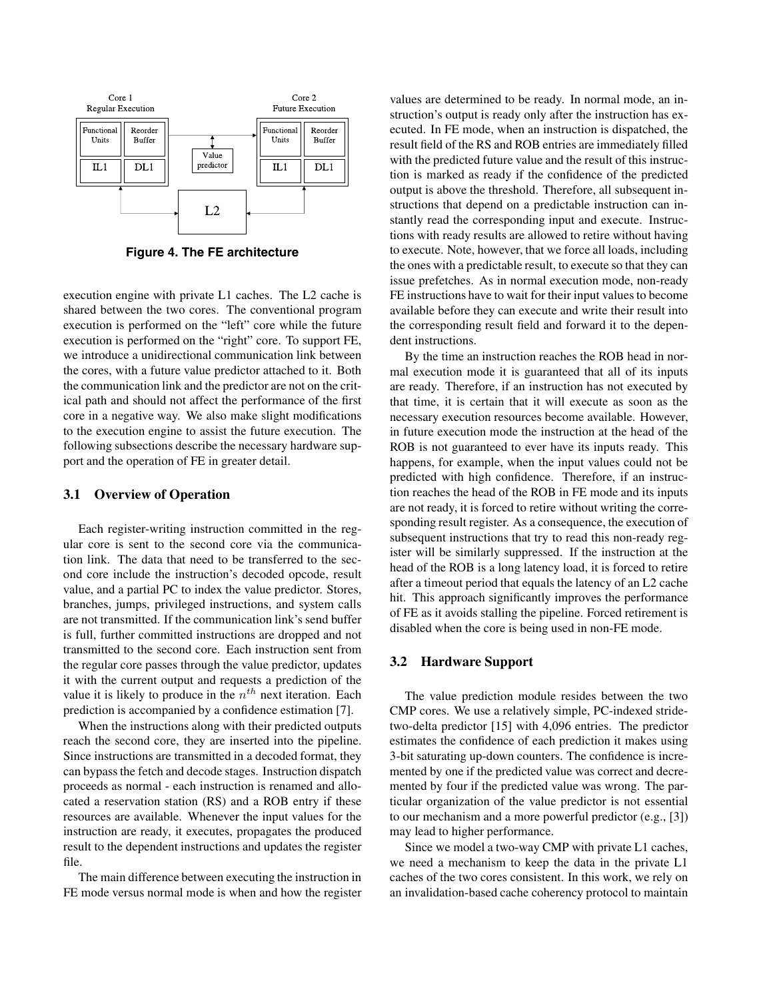

**Figure 4. The FE architecture**

execution engine with private L1 caches. The L2 cache is shared between the two cores. The conventional program execution is performed on the "left" core while the future execution is performed on the "right" core. To support FE, we introduce a unidirectional communication link between the cores, with a future value predictor attached to it. Both the communication link and the predictor are not on the critical path and should not affect the performance of the first core in a negative way. We also make slight modifications to the execution engine to assist the future execution. The following subsections describe the necessary hardware support and the operation of FE in greater detail.

#### **3.1 Overview of Operation**

Each register-writing instruction committed in the regular core is sent to the second core via the communication link. The data that need to be transferred to the second core include the instruction's decoded opcode, result value, and a partial PC to index the value predictor. Stores, branches, jumps, privileged instructions, and system calls are not transmitted. If the communication link's send buffer is full, further committed instructions are dropped and not transmitted to the second core. Each instruction sent from the regular core passes through the value predictor, updates it with the current output and requests a prediction of the value it is likely to produce in the  $n^{th}$  next iteration. Each prediction is accompanied by a confidence estimation [7].

When the instructions along with their predicted outputs reach the second core, they are inserted into the pipeline. Since instructions are transmitted in a decoded format, they can bypass the fetch and decode stages. Instruction dispatch proceeds as normal - each instruction is renamed and allocated a reservation station (RS) and a ROB entry if these resources are available. Whenever the input values for the instruction are ready, it executes, propagates the produced result to the dependent instructions and updates the register file.

The main difference between executing the instruction in FE mode versus normal mode is when and how the register values are determined to be ready. In normal mode, an instruction's output is ready only after the instruction has executed. In FE mode, when an instruction is dispatched, the result field of the RS and ROB entries are immediately filled with the predicted future value and the result of this instruction is marked as ready if the confidence of the predicted output is above the threshold. Therefore, all subsequent instructions that depend on a predictable instruction can instantly read the corresponding input and execute. Instructions with ready results are allowed to retire without having to execute. Note, however, that we force all loads, including the ones with a predictable result, to execute so that they can issue prefetches. As in normal execution mode, non-ready FE instructions have to wait for their input values to become available before they can execute and write their result into the corresponding result field and forward it to the dependent instructions.

By the time an instruction reaches the ROB head in normal execution mode it is guaranteed that all of its inputs are ready. Therefore, if an instruction has not executed by that time, it is certain that it will execute as soon as the necessary execution resources become available. However, in future execution mode the instruction at the head of the ROB is not guaranteed to ever have its inputs ready. This happens, for example, when the input values could not be predicted with high confidence. Therefore, if an instruction reaches the head of the ROB in FE mode and its inputs are not ready, it is forced to retire without writing the corresponding result register. As a consequence, the execution of subsequent instructions that try to read this non-ready register will be similarly suppressed. If the instruction at the head of the ROB is a long latency load, it is forced to retire after a timeout period that equals the latency of an L2 cache hit. This approach significantly improves the performance of FE as it avoids stalling the pipeline. Forced retirement is disabled when the core is being used in non-FE mode.

### **3.2 Hardware Support**

The value prediction module resides between the two CMP cores. We use a relatively simple, PC-indexed stridetwo-delta predictor [15] with 4,096 entries. The predictor estimates the confidence of each prediction it makes using 3-bit saturating up-down counters. The confidence is incremented by one if the predicted value was correct and decremented by four if the predicted value was wrong. The particular organization of the value predictor is not essential to our mechanism and a more powerful predictor (e.g., [3]) may lead to higher performance.

Since we model a two-way CMP with private L1 caches, we need a mechanism to keep the data in the private L1 caches of the two cores consistent. In this work, we rely on an invalidation-based cache coherency protocol to maintain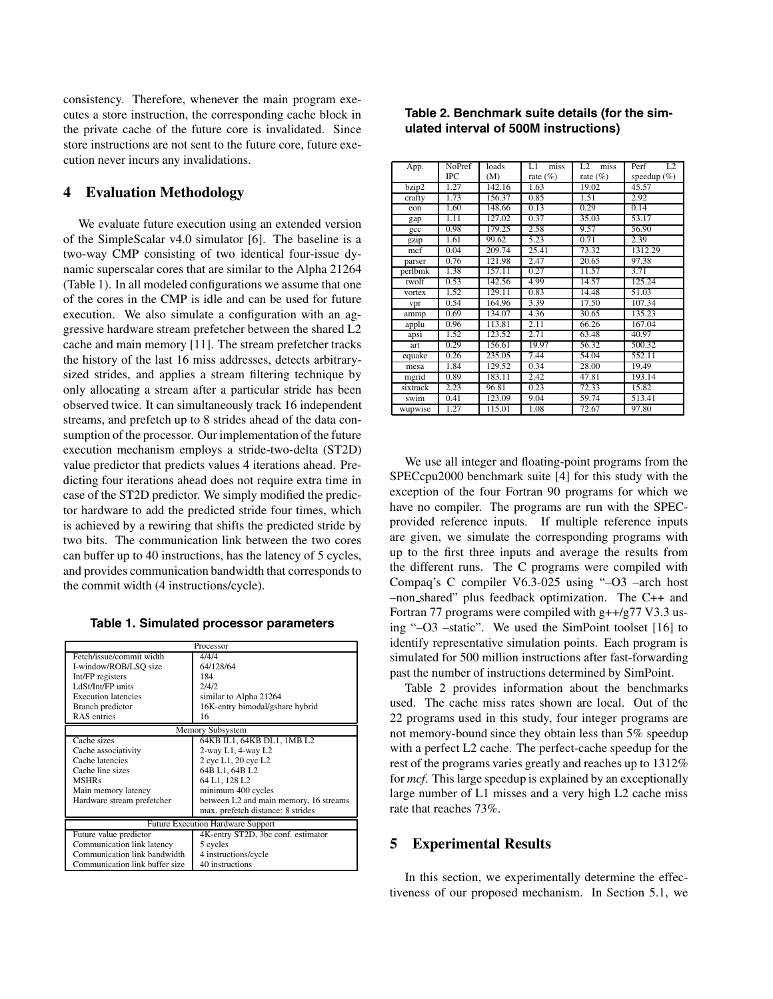consistency. Therefore, whenever the main program executes a store instruction, the corresponding cache block in the private cache of the future core is invalidated. Since store instructions are not sent to the future core, future execution never incurs any invalidations.

### **4 Evaluation Methodology**

We evaluate future execution using an extended version of the SimpleScalar v4.0 simulator [6]. The baseline is a two-way CMP consisting of two identical four-issue dynamic superscalar cores that are similar to the Alpha 21264 (Table 1). In all modeled configurations we assume that one of the cores in the CMP is idle and can be used for future execution. We also simulate a configuration with an aggressive hardware stream prefetcher between the shared L2 cache and main memory [11]. The stream prefetcher tracks the history of the last 16 miss addresses, detects arbitrarysized strides, and applies a stream filtering technique by only allocating a stream after a particular stride has been observed twice. It can simultaneously track 16 independent streams, and prefetch up to 8 strides ahead of the data consumption of the processor. Our implementation of the future execution mechanism employs a stride-two-delta (ST2D) value predictor that predicts values 4 iterations ahead. Predicting four iterations ahead does not require extra time in case of the ST2D predictor. We simply modified the predictor hardware to add the predicted stride four times, which is achieved by a rewiring that shifts the predicted stride by two bits. The communication link between the two cores can buffer up to 40 instructions, has the latency of 5 cycles, and provides communication bandwidth that corresponds to the commit width (4 instructions/cycle).

| Processor                                |                                        |  |  |  |  |
|------------------------------------------|----------------------------------------|--|--|--|--|
| Fetch/issue/commit width                 | 4/4/4                                  |  |  |  |  |
| I-window/ROB/LSQ size                    | 64/128/64                              |  |  |  |  |
| Int/FP registers                         | 184                                    |  |  |  |  |
| LdSt/Int/FP units                        | 2/4/2                                  |  |  |  |  |
| <b>Execution latencies</b>               | similar to Alpha 21264                 |  |  |  |  |
| Branch predictor                         | 16K-entry bimodal/gshare hybrid        |  |  |  |  |
| <b>RAS</b> entries                       | 16                                     |  |  |  |  |
| <b>Memory Subsystem</b>                  |                                        |  |  |  |  |
| Cache sizes                              | 64KB IL1, 64KB DL1, 1MB L2             |  |  |  |  |
| Cache associativity                      | 2-way L1, 4-way L2                     |  |  |  |  |
| Cache latencies                          | 2 cyc L1, 20 cyc L2                    |  |  |  |  |
| Cache line sizes                         | 64B L1, 64B L2                         |  |  |  |  |
| <b>MSHRs</b>                             | 64 L1, 128 L2                          |  |  |  |  |
| Main memory latency                      | minimum 400 cycles                     |  |  |  |  |
| Hardware stream prefetcher               | between L2 and main memory, 16 streams |  |  |  |  |
|                                          | max. prefetch distance: 8 strides      |  |  |  |  |
| <b>Future Execution Hardware Support</b> |                                        |  |  |  |  |
| Future value predictor                   | 4K-entry ST2D, 3bc conf. estimator     |  |  |  |  |
| Communication link latency               | 5 cycles                               |  |  |  |  |
| Communication link bandwidth             | 4 instructions/cycle                   |  |  |  |  |
| Communication link buffer size           | 40 instructions                        |  |  |  |  |

| Table 2. Benchmark suite details (for the sim- |  |
|------------------------------------------------|--|
| ulated interval of 500M instructions)          |  |

| App.     | NoPref     | loads  | miss<br>L1  | miss<br>L2  | L2<br>Perf  |
|----------|------------|--------|-------------|-------------|-------------|
|          | <b>IPC</b> | (M)    | rate $(\%)$ | rate $(\%)$ | speedup (%) |
| bzip2    | 1.27       | 142.16 | 1.63        | 19.02       | 45.57       |
| crafty   | 1.73       | 156.37 | 0.85        | 1.51        | 2.92        |
| eon      | 1.60       | 148.66 | 0.13        | 0.29        | 0.14        |
| gap      | 1.11       | 127.02 | 0.37        | 35.03       | 53.17       |
| gcc      | 0.98       | 179.25 | 2.58        | 9.57        | 56.90       |
| gzip     | 1.61       | 99.62  | 5.23        | 0.71        | 2.39        |
| mcf      | 0.04       | 209.74 | 25.41       | 73.32       | 1312.29     |
| parser   | 0.76       | 121.98 | 2.47        | 20.65       | 97.38       |
| perlbmk  | 1.38       | 157.11 | 0.27        | 11.57       | 3.71        |
| twolf    | 0.53       | 142.56 | 4.99        | 14.57       | 125.24      |
| vortex   | 1.52       | 129.11 | 0.83        | 14.48       | 51.03       |
| vpr      | 0.54       | 164.96 | 3.39        | 17.50       | 107.34      |
| ammp     | 0.69       | 134.07 | 4.36        | 30.65       | 135.23      |
| applu    | 0.96       | 113.81 | 2.11        | 66.26       | 167.04      |
| apsi     | 1.52       | 123.52 | 2.71        | 63.48       | 40.97       |
| art      | 0.29       | 156.61 | 19.97       | 56.32       | 500.32      |
| equake   | 0.26       | 235.05 | 7.44        | 54.04       | 552.11      |
| mesa     | 1.84       | 129.52 | 0.34        | 28.00       | 19.49       |
| mgrid    | 0.89       | 183.11 | 2.42        | 47.81       | 193.14      |
| sixtrack | 2.23       | 96.81  | 0.23        | 72.33       | 15.82       |
| swim     | 0.41       | 123.09 | 9.04        | 59.74       | 513.41      |
| wupwise  | 1.27       | 115.01 | 1.08        | 72.67       | 97.80       |

We use all integer and floating-point programs from the SPECcpu2000 benchmark suite [4] for this study with the exception of the four Fortran 90 programs for which we have no compiler. The programs are run with the SPECprovided reference inputs. If multiple reference inputs are given, we simulate the corresponding programs with up to the first three inputs and average the results from the different runs. The C programs were compiled with Compaq's C compiler V6.3-025 using "–O3 –arch host –non shared" plus feedback optimization. The C++ and Fortran 77 programs were compiled with g++/g77 V3.3 using "–O3 –static". We used the SimPoint toolset [16] to identify representative simulation points. Each program is simulated for 500 million instructions after fast-forwarding past the number of instructions determined by SimPoint.

Table 2 provides information about the benchmarks used. The cache miss rates shown are local. Out of the 22 programs used in this study, four integer programs are not memory-bound since they obtain less than 5% speedup with a perfect L2 cache. The perfect-cache speedup for the rest of the programs varies greatly and reaches up to 1312% for *mcf*. This large speedup is explained by an exceptionally large number of L1 misses and a very high L2 cache miss rate that reaches 73%.

### **5 Experimental Results**

In this section, we experimentally determine the effectiveness of our proposed mechanism. In Section 5.1, we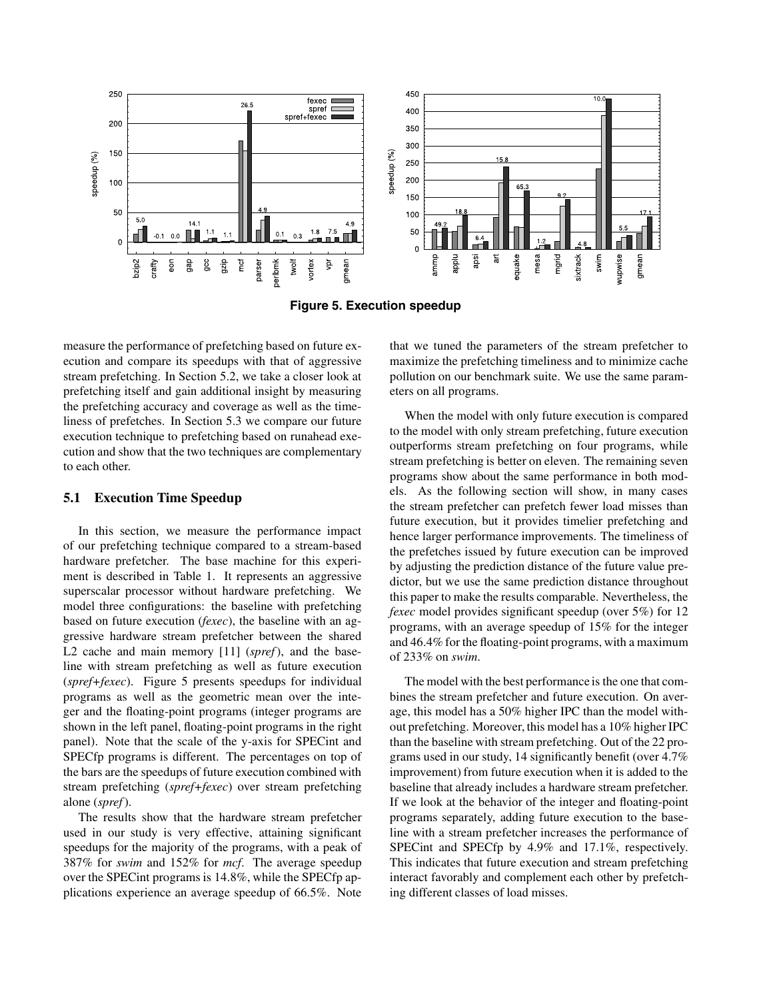

**Figure 5. Execution speedup**

measure the performance of prefetching based on future execution and compare its speedups with that of aggressive stream prefetching. In Section 5.2, we take a closer look at prefetching itself and gain additional insight by measuring the prefetching accuracy and coverage as well as the timeliness of prefetches. In Section 5.3 we compare our future execution technique to prefetching based on runahead execution and show that the two techniques are complementary to each other.

#### **5.1 Execution Time Speedup**

In this section, we measure the performance impact of our prefetching technique compared to a stream-based hardware prefetcher. The base machine for this experiment is described in Table 1. It represents an aggressive superscalar processor without hardware prefetching. We model three configurations: the baseline with prefetching based on future execution (*fexec*), the baseline with an aggressive hardware stream prefetcher between the shared L2 cache and main memory [11] (*spref*), and the baseline with stream prefetching as well as future execution (*spref+fexec*). Figure 5 presents speedups for individual programs as well as the geometric mean over the integer and the floating-point programs (integer programs are shown in the left panel, floating-point programs in the right panel). Note that the scale of the y-axis for SPECint and SPECfp programs is different. The percentages on top of the bars are the speedups of future execution combined with stream prefetching (*spref+fexec*) over stream prefetching alone (*spref*).

The results show that the hardware stream prefetcher used in our study is very effective, attaining significant speedups for the majority of the programs, with a peak of 387% for *swim* and 152% for *mcf*. The average speedup over the SPECint programs is 14.8%, while the SPECfp applications experience an average speedup of 66.5%. Note that we tuned the parameters of the stream prefetcher to maximize the prefetching timeliness and to minimize cache pollution on our benchmark suite. We use the same parameters on all programs.

When the model with only future execution is compared to the model with only stream prefetching, future execution outperforms stream prefetching on four programs, while stream prefetching is better on eleven. The remaining seven programs show about the same performance in both models. As the following section will show, in many cases the stream prefetcher can prefetch fewer load misses than future execution, but it provides timelier prefetching and hence larger performance improvements. The timeliness of the prefetches issued by future execution can be improved by adjusting the prediction distance of the future value predictor, but we use the same prediction distance throughout this paper to make the results comparable. Nevertheless, the *fexec* model provides significant speedup (over 5%) for 12 programs, with an average speedup of 15% for the integer and 46.4% for the floating-point programs, with a maximum of 233% on *swim*.

The model with the best performance is the one that combines the stream prefetcher and future execution. On average, this model has a 50% higher IPC than the model without prefetching. Moreover, this model has a 10% higher IPC than the baseline with stream prefetching. Out of the 22 programs used in our study, 14 significantly benefit (over 4.7% improvement) from future execution when it is added to the baseline that already includes a hardware stream prefetcher. If we look at the behavior of the integer and floating-point programs separately, adding future execution to the baseline with a stream prefetcher increases the performance of SPECint and SPECfp by 4.9% and 17.1%, respectively. This indicates that future execution and stream prefetching interact favorably and complement each other by prefetching different classes of load misses.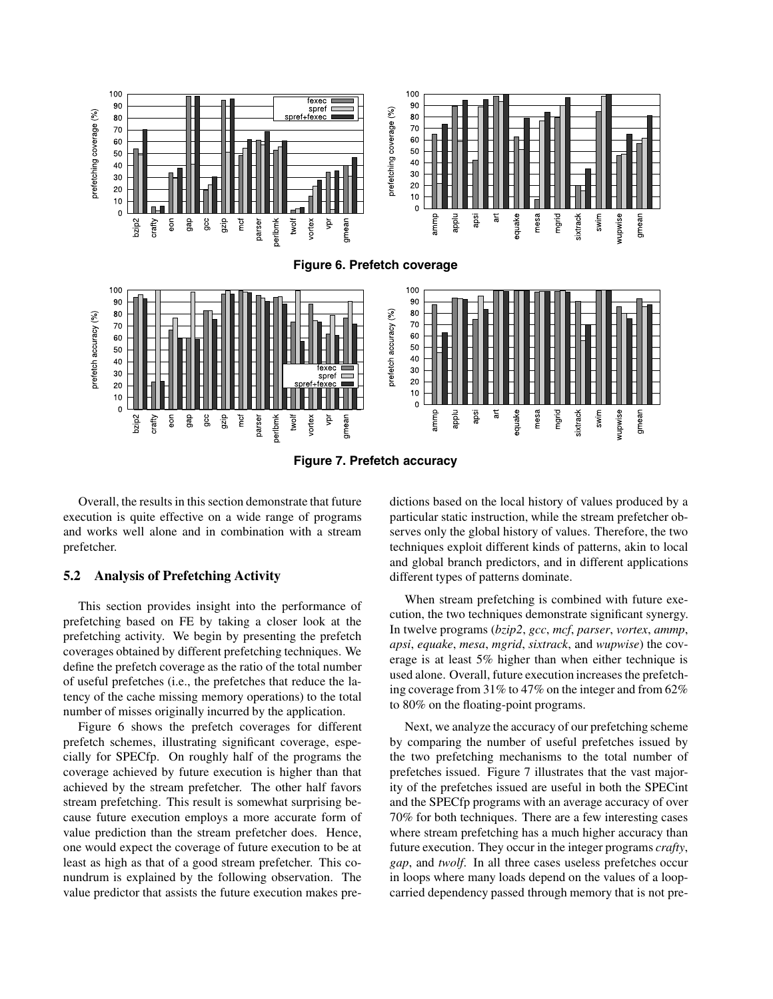



Overall, the results in this section demonstrate that future execution is quite effective on a wide range of programs and works well alone and in combination with a stream prefetcher.

# **5.2 Analysis of Prefetching Activity**

This section provides insight into the performance of prefetching based on FE by taking a closer look at the prefetching activity. We begin by presenting the prefetch coverages obtained by different prefetching techniques. We define the prefetch coverage as the ratio of the total number of useful prefetches (i.e., the prefetches that reduce the latency of the cache missing memory operations) to the total number of misses originally incurred by the application.

Figure 6 shows the prefetch coverages for different prefetch schemes, illustrating significant coverage, especially for SPECfp. On roughly half of the programs the coverage achieved by future execution is higher than that achieved by the stream prefetcher. The other half favors stream prefetching. This result is somewhat surprising because future execution employs a more accurate form of value prediction than the stream prefetcher does. Hence, one would expect the coverage of future execution to be at least as high as that of a good stream prefetcher. This conundrum is explained by the following observation. The value predictor that assists the future execution makes predictions based on the local history of values produced by a particular static instruction, while the stream prefetcher observes only the global history of values. Therefore, the two techniques exploit different kinds of patterns, akin to local and global branch predictors, and in different applications different types of patterns dominate.

When stream prefetching is combined with future execution, the two techniques demonstrate significant synergy. In twelve programs (*bzip2*, *gcc*, *mcf*, *parser*, *vortex*, *ammp*, *apsi*, *equake*, *mesa*, *mgrid*, *sixtrack*, and *wupwise*) the coverage is at least 5% higher than when either technique is used alone. Overall, future execution increases the prefetching coverage from 31% to 47% on the integer and from 62% to 80% on the floating-point programs.

Next, we analyze the accuracy of our prefetching scheme by comparing the number of useful prefetches issued by the two prefetching mechanisms to the total number of prefetches issued. Figure 7 illustrates that the vast majority of the prefetches issued are useful in both the SPECint and the SPECfp programs with an average accuracy of over 70% for both techniques. There are a few interesting cases where stream prefetching has a much higher accuracy than future execution. They occur in the integer programs *crafty*, *gap*, and *twolf*. In all three cases useless prefetches occur in loops where many loads depend on the values of a loopcarried dependency passed through memory that is not pre-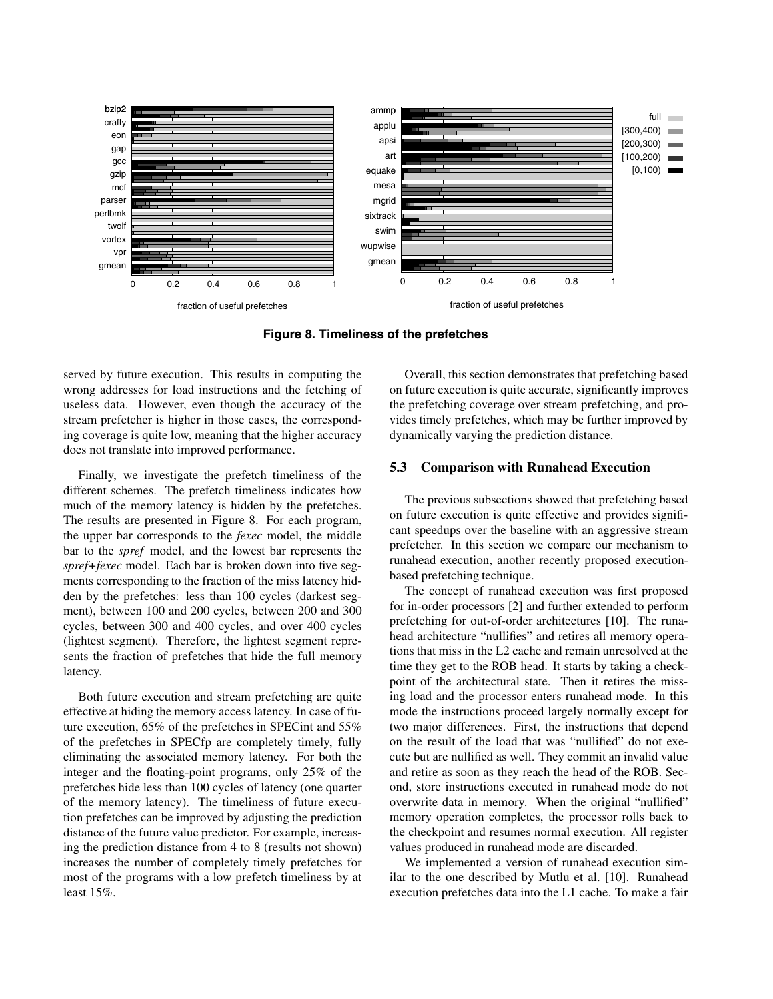

**Figure 8. Timeliness of the prefetches**

served by future execution. This results in computing the wrong addresses for load instructions and the fetching of useless data. However, even though the accuracy of the stream prefetcher is higher in those cases, the corresponding coverage is quite low, meaning that the higher accuracy does not translate into improved performance.

Finally, we investigate the prefetch timeliness of the different schemes. The prefetch timeliness indicates how much of the memory latency is hidden by the prefetches. The results are presented in Figure 8. For each program, the upper bar corresponds to the *fexec* model, the middle bar to the *spref* model, and the lowest bar represents the *spref+fexec* model. Each bar is broken down into five segments corresponding to the fraction of the miss latency hidden by the prefetches: less than 100 cycles (darkest segment), between 100 and 200 cycles, between 200 and 300 cycles, between 300 and 400 cycles, and over 400 cycles (lightest segment). Therefore, the lightest segment represents the fraction of prefetches that hide the full memory latency.

Both future execution and stream prefetching are quite effective at hiding the memory access latency. In case of future execution, 65% of the prefetches in SPECint and 55% of the prefetches in SPECfp are completely timely, fully eliminating the associated memory latency. For both the integer and the floating-point programs, only 25% of the prefetches hide less than 100 cycles of latency (one quarter of the memory latency). The timeliness of future execution prefetches can be improved by adjusting the prediction distance of the future value predictor. For example, increasing the prediction distance from 4 to 8 (results not shown) increases the number of completely timely prefetches for most of the programs with a low prefetch timeliness by at least 15%.

Overall, this section demonstrates that prefetching based on future execution is quite accurate, significantly improves the prefetching coverage over stream prefetching, and provides timely prefetches, which may be further improved by dynamically varying the prediction distance.

### **5.3 Comparison with Runahead Execution**

The previous subsections showed that prefetching based on future execution is quite effective and provides significant speedups over the baseline with an aggressive stream prefetcher. In this section we compare our mechanism to runahead execution, another recently proposed executionbased prefetching technique.

The concept of runahead execution was first proposed for in-order processors [2] and further extended to perform prefetching for out-of-order architectures [10]. The runahead architecture "nullifies" and retires all memory operations that miss in the L2 cache and remain unresolved at the time they get to the ROB head. It starts by taking a checkpoint of the architectural state. Then it retires the missing load and the processor enters runahead mode. In this mode the instructions proceed largely normally except for two major differences. First, the instructions that depend on the result of the load that was "nullified" do not execute but are nullified as well. They commit an invalid value and retire as soon as they reach the head of the ROB. Second, store instructions executed in runahead mode do not overwrite data in memory. When the original "nullified" memory operation completes, the processor rolls back to the checkpoint and resumes normal execution. All register values produced in runahead mode are discarded.

We implemented a version of runahead execution similar to the one described by Mutlu et al. [10]. Runahead execution prefetches data into the L1 cache. To make a fair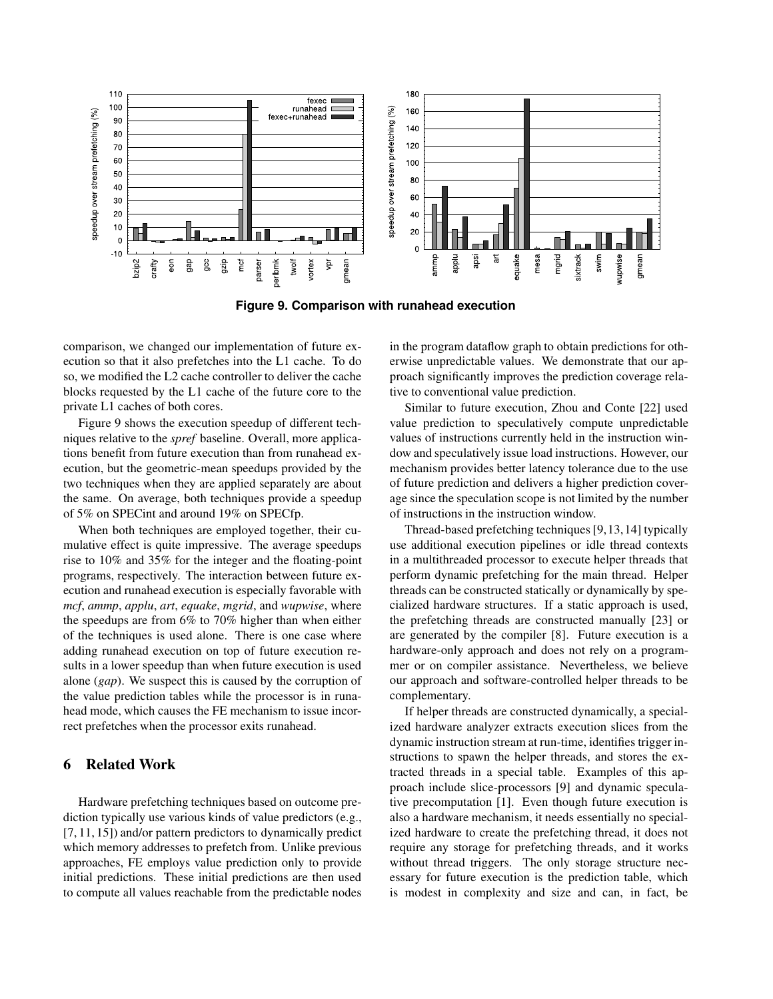

**Figure 9. Comparison with runahead execution**

comparison, we changed our implementation of future execution so that it also prefetches into the L1 cache. To do so, we modified the L2 cache controller to deliver the cache blocks requested by the L1 cache of the future core to the private L1 caches of both cores.

Figure 9 shows the execution speedup of different techniques relative to the *spref* baseline. Overall, more applications benefit from future execution than from runahead execution, but the geometric-mean speedups provided by the two techniques when they are applied separately are about the same. On average, both techniques provide a speedup of 5% on SPECint and around 19% on SPECfp.

When both techniques are employed together, their cumulative effect is quite impressive. The average speedups rise to 10% and 35% for the integer and the floating-point programs, respectively. The interaction between future execution and runahead execution is especially favorable with *mcf*, *ammp*, *applu*, *art*, *equake*, *mgrid*, and *wupwise*, where the speedups are from 6% to 70% higher than when either of the techniques is used alone. There is one case where adding runahead execution on top of future execution results in a lower speedup than when future execution is used alone (*gap*). We suspect this is caused by the corruption of the value prediction tables while the processor is in runahead mode, which causes the FE mechanism to issue incorrect prefetches when the processor exits runahead.

# **6 Related Work**

Hardware prefetching techniques based on outcome prediction typically use various kinds of value predictors (e.g., [7, 11, 15]) and/or pattern predictors to dynamically predict which memory addresses to prefetch from. Unlike previous approaches, FE employs value prediction only to provide initial predictions. These initial predictions are then used to compute all values reachable from the predictable nodes in the program dataflow graph to obtain predictions for otherwise unpredictable values. We demonstrate that our approach significantly improves the prediction coverage relative to conventional value prediction.

Similar to future execution, Zhou and Conte [22] used value prediction to speculatively compute unpredictable values of instructions currently held in the instruction window and speculatively issue load instructions. However, our mechanism provides better latency tolerance due to the use of future prediction and delivers a higher prediction coverage since the speculation scope is not limited by the number of instructions in the instruction window.

Thread-based prefetching techniques [9,13,14] typically use additional execution pipelines or idle thread contexts in a multithreaded processor to execute helper threads that perform dynamic prefetching for the main thread. Helper threads can be constructed statically or dynamically by specialized hardware structures. If a static approach is used, the prefetching threads are constructed manually [23] or are generated by the compiler [8]. Future execution is a hardware-only approach and does not rely on a programmer or on compiler assistance. Nevertheless, we believe our approach and software-controlled helper threads to be complementary.

If helper threads are constructed dynamically, a specialized hardware analyzer extracts execution slices from the dynamic instruction stream at run-time, identifies trigger instructions to spawn the helper threads, and stores the extracted threads in a special table. Examples of this approach include slice-processors [9] and dynamic speculative precomputation [1]. Even though future execution is also a hardware mechanism, it needs essentially no specialized hardware to create the prefetching thread, it does not require any storage for prefetching threads, and it works without thread triggers. The only storage structure necessary for future execution is the prediction table, which is modest in complexity and size and can, in fact, be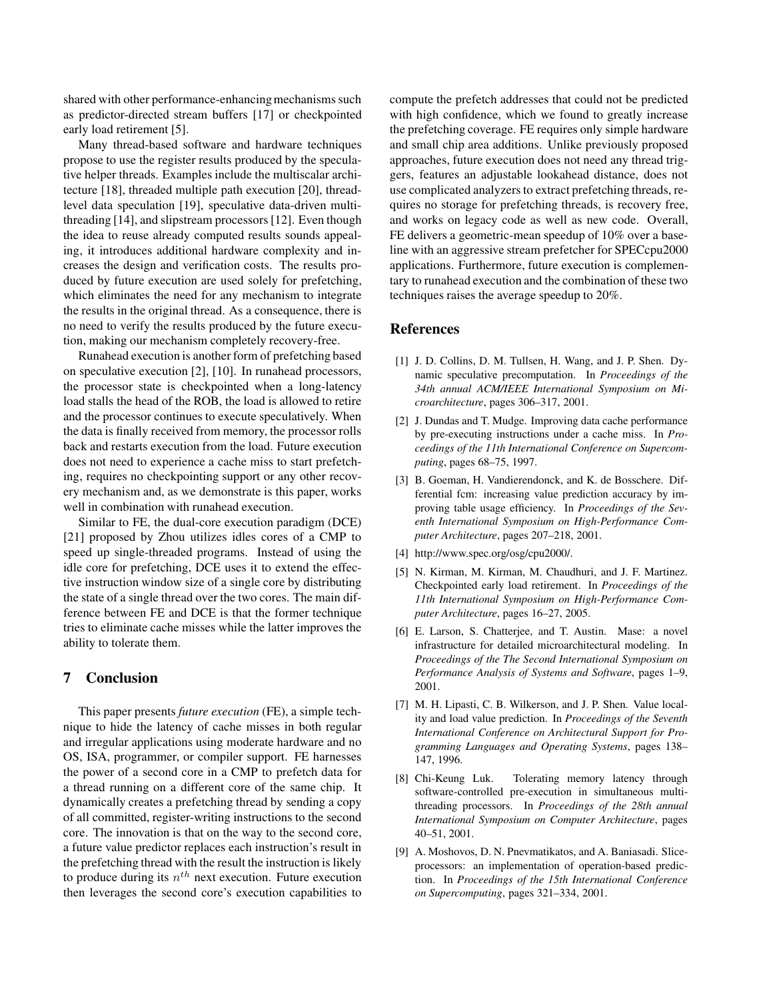shared with other performance-enhancing mechanisms such as predictor-directed stream buffers [17] or checkpointed early load retirement [5].

Many thread-based software and hardware techniques propose to use the register results produced by the speculative helper threads. Examples include the multiscalar architecture [18], threaded multiple path execution [20], threadlevel data speculation [19], speculative data-driven multithreading [14], and slipstream processors [12]. Even though the idea to reuse already computed results sounds appealing, it introduces additional hardware complexity and increases the design and verification costs. The results produced by future execution are used solely for prefetching, which eliminates the need for any mechanism to integrate the results in the original thread. As a consequence, there is no need to verify the results produced by the future execution, making our mechanism completely recovery-free.

Runahead execution is another form of prefetching based on speculative execution [2], [10]. In runahead processors, the processor state is checkpointed when a long-latency load stalls the head of the ROB, the load is allowed to retire and the processor continues to execute speculatively. When the data is finally received from memory, the processor rolls back and restarts execution from the load. Future execution does not need to experience a cache miss to start prefetching, requires no checkpointing support or any other recovery mechanism and, as we demonstrate is this paper, works well in combination with runahead execution.

Similar to FE, the dual-core execution paradigm (DCE) [21] proposed by Zhou utilizes idles cores of a CMP to speed up single-threaded programs. Instead of using the idle core for prefetching, DCE uses it to extend the effective instruction window size of a single core by distributing the state of a single thread over the two cores. The main difference between FE and DCE is that the former technique tries to eliminate cache misses while the latter improves the ability to tolerate them.

# **7 Conclusion**

This paper presents *future execution* (FE), a simple technique to hide the latency of cache misses in both regular and irregular applications using moderate hardware and no OS, ISA, programmer, or compiler support. FE harnesses the power of a second core in a CMP to prefetch data for a thread running on a different core of the same chip. It dynamically creates a prefetching thread by sending a copy of all committed, register-writing instructions to the second core. The innovation is that on the way to the second core, a future value predictor replaces each instruction's result in the prefetching thread with the result the instruction is likely to produce during its *nth* next execution. Future execution then leverages the second core's execution capabilities to

compute the prefetch addresses that could not be predicted with high confidence, which we found to greatly increase the prefetching coverage. FE requires only simple hardware and small chip area additions. Unlike previously proposed approaches, future execution does not need any thread triggers, features an adjustable lookahead distance, does not use complicated analyzers to extract prefetching threads, requires no storage for prefetching threads, is recovery free, and works on legacy code as well as new code. Overall, FE delivers a geometric-mean speedup of 10% over a baseline with an aggressive stream prefetcher for SPECcpu2000 applications. Furthermore, future execution is complementary to runahead execution and the combination of these two techniques raises the average speedup to 20%.

## **References**

- [1] J. D. Collins, D. M. Tullsen, H. Wang, and J. P. Shen. Dynamic speculative precomputation. In *Proceedings of the 34th annual ACM/IEEE International Symposium on Microarchitecture*, pages 306–317, 2001.
- [2] J. Dundas and T. Mudge. Improving data cache performance by pre-executing instructions under a cache miss. In *Proceedings of the 11th International Conference on Supercomputing*, pages 68–75, 1997.
- [3] B. Goeman, H. Vandierendonck, and K. de Bosschere. Differential fcm: increasing value prediction accuracy by improving table usage efficiency. In *Proceedings of the Seventh International Symposium on High-Performance Computer Architecture*, pages 207–218, 2001.
- [4] http://www.spec.org/osg/cpu2000/.
- [5] N. Kirman, M. Kirman, M. Chaudhuri, and J. F. Martinez. Checkpointed early load retirement. In *Proceedings of the 11th International Symposium on High-Performance Computer Architecture*, pages 16–27, 2005.
- [6] E. Larson, S. Chatterjee, and T. Austin. Mase: a novel infrastructure for detailed microarchitectural modeling. In *Proceedings of the The Second International Symposium on Performance Analysis of Systems and Software*, pages 1–9, 2001.
- [7] M. H. Lipasti, C. B. Wilkerson, and J. P. Shen. Value locality and load value prediction. In *Proceedings of the Seventh International Conference on Architectural Support for Programming Languages and Operating Systems*, pages 138– 147, 1996.
- [8] Chi-Keung Luk. Tolerating memory latency through software-controlled pre-execution in simultaneous multithreading processors. In *Proceedings of the 28th annual International Symposium on Computer Architecture*, pages 40–51, 2001.
- [9] A. Moshovos, D. N. Pnevmatikatos, and A. Baniasadi. Sliceprocessors: an implementation of operation-based prediction. In *Proceedings of the 15th International Conference on Supercomputing*, pages 321–334, 2001.